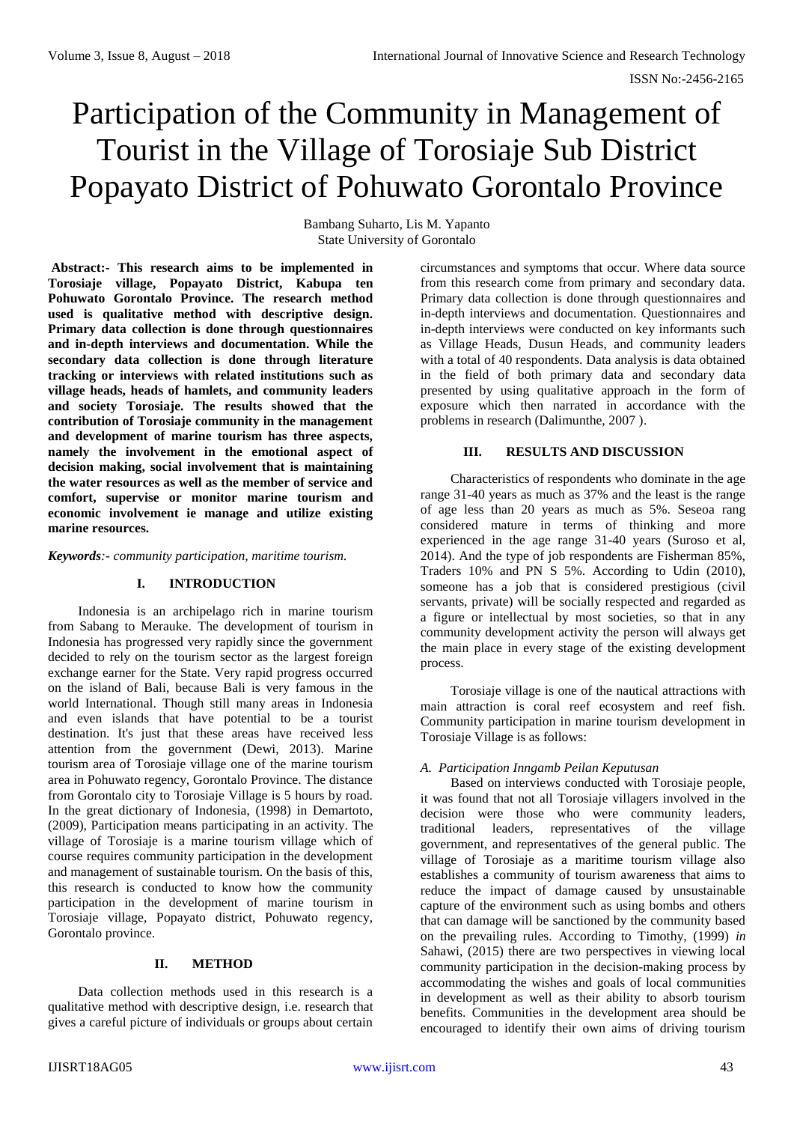# Participation of the Community in Management of Tourist in the Village of Torosiaje Sub District Popayato District of Pohuwato Gorontalo Province

Bambang Suharto, Lis M. Yapanto State University of Gorontalo

**Abstract:- This research aims to be implemented in Torosiaje village, Popayato District, Kabupa ten Pohuwato Gorontalo Province. The research method used is qualitative method with descriptive design. Primary data collection is done through questionnaires and in-depth interviews and documentation. While the secondary data collection is done through literature tracking or interviews with related institutions such as village heads, heads of hamlets, and community leaders and society Torosiaje. The results showed that the contribution of Torosiaje community in the management and development of marine tourism has three aspects, namely the involvement in the emotional aspect of decision making, social involvement that is maintaining the water resources as well as the member of service and comfort, supervise or monitor marine tourism and economic involvement ie manage and utilize existing marine resources.** 

*Keywords:- community participation, maritime tourism.*

#### **I. INTRODUCTION**

Indonesia is an archipelago rich in marine tourism from Sabang to Merauke. The development of tourism in Indonesia has progressed very rapidly since the government decided to rely on the tourism sector as the largest foreign exchange earner for the State. Very rapid progress occurred on the island of Bali, because Bali is very famous in the world International. Though still many areas in Indonesia and even islands that have potential to be a tourist destination. It's just that these areas have received less attention from the government (Dewi, 2013). Marine tourism area of Torosiaje village one of the marine tourism area in Pohuwato regency, Gorontalo Province. The distance from Gorontalo city to Torosiaje Village is 5 hours by road. In the great dictionary of Indonesia, (1998) in Demartoto, (2009), Participation means participating in an activity. The village of Torosiaje is a marine tourism village which of course requires community participation in the development and management of sustainable tourism. On the basis of this, this research is conducted to know how the community participation in the development of marine tourism in Torosiaje village, Popayato district, Pohuwato regency, Gorontalo province.

## **II. METHOD**

Data collection methods used in this research is a qualitative method with descriptive design, i.e. research that gives a careful picture of individuals or groups about certain circumstances and symptoms that occur. Where data source from this research come from primary and secondary data. Primary data collection is done through questionnaires and in-depth interviews and documentation. Questionnaires and in-depth interviews were conducted on key informants such as Village Heads, Dusun Heads, and community leaders with a total of 40 respondents. Data analysis is data obtained in the field of both primary data and secondary data presented by using qualitative approach in the form of exposure which then narrated in accordance with the problems in research (Dalimunthe, 2007 ).

#### **III. RESULTS AND DISCUSSION**

Characteristics of respondents who dominate in the age range 31-40 years as much as 37% and the least is the range of age less than 20 years as much as 5%. Seseoa rang considered mature in terms of thinking and more experienced in the age range 31-40 years (Suroso et al, 2014). And the type of job respondents are Fisherman 85%, Traders 10% and PN S 5%. According to Udin (2010), someone has a job that is considered prestigious (civil servants, private) will be socially respected and regarded as a figure or intellectual by most societies, so that in any community development activity the person will always get the main place in every stage of the existing development process.

Torosiaje village is one of the nautical attractions with main attraction is coral reef ecosystem and reef fish. Community participation in marine tourism development in Torosiaje Village is as follows:

#### *A. Participation Inngamb Peilan Keputusan*

Based on interviews conducted with Torosiaje people, it was found that not all Torosiaje villagers involved in the decision were those who were community leaders, traditional leaders, representatives of the village government, and representatives of the general public. The village of Torosiaje as a maritime tourism village also establishes a community of tourism awareness that aims to reduce the impact of damage caused by unsustainable capture of the environment such as using bombs and others that can damage will be sanctioned by the community based on the prevailing rules. According to Timothy, (1999) *in* Sahawi, (2015) there are two perspectives in viewing local community participation in the decision-making process by accommodating the wishes and goals of local communities in development as well as their ability to absorb tourism benefits. Communities in the development area should be encouraged to identify their own aims of driving tourism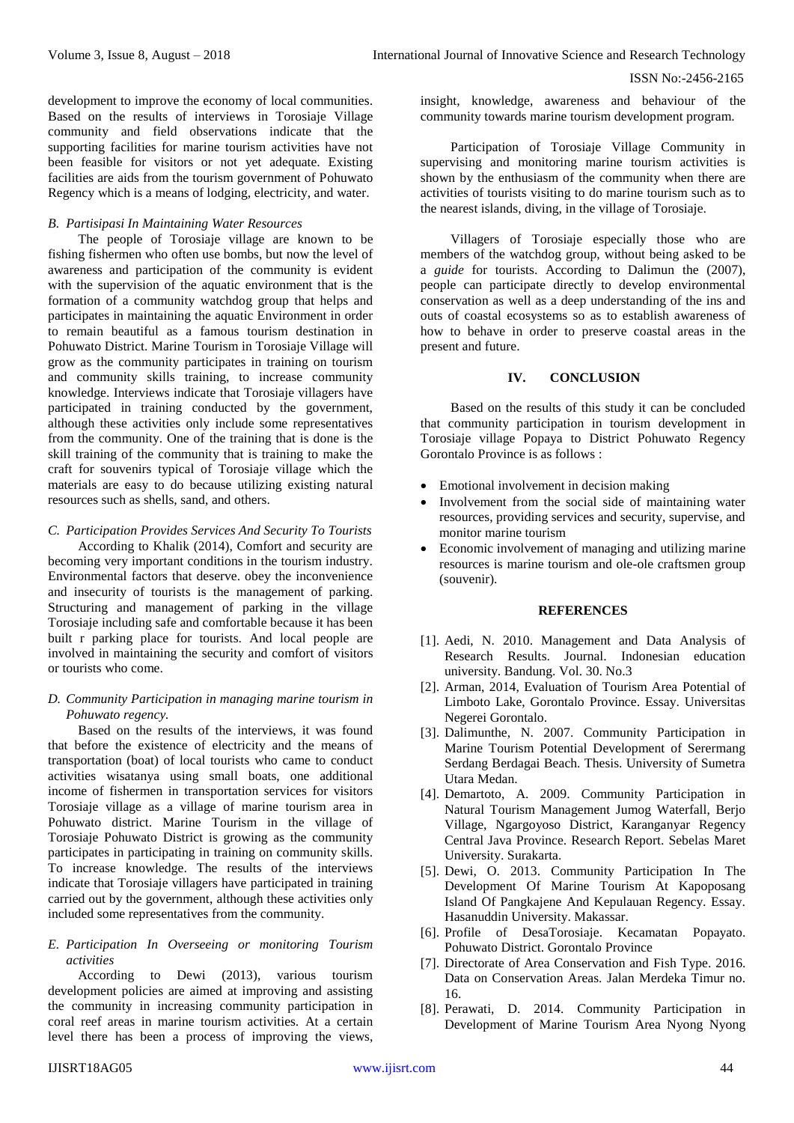development to improve the economy of local communities. Based on the results of interviews in Torosiaje Village community and field observations indicate that the supporting facilities for marine tourism activities have not been feasible for visitors or not yet adequate. Existing facilities are aids from the tourism government of Pohuwato Regency which is a means of lodging, electricity, and water.

### *B. Partisipasi In Maintaining Water Resources*

The people of Torosiaje village are known to be fishing fishermen who often use bombs, but now the level of awareness and participation of the community is evident with the supervision of the aquatic environment that is the formation of a community watchdog group that helps and participates in maintaining the aquatic Environment in order to remain beautiful as a famous tourism destination in Pohuwato District. Marine Tourism in Torosiaje Village will grow as the community participates in training on tourism and community skills training, to increase community knowledge. Interviews indicate that Torosiaje villagers have participated in training conducted by the government, although these activities only include some representatives from the community. One of the training that is done is the skill training of the community that is training to make the craft for souvenirs typical of Torosiaje village which the materials are easy to do because utilizing existing natural resources such as shells, sand, and others.

*C. Participation Provides Services And Security To Tourists* According to Khalik (2014), Comfort and security are

becoming very important conditions in the tourism industry. Environmental factors that deserve. obey the inconvenience and insecurity of tourists is the management of parking. Structuring and management of parking in the village Torosiaje including safe and comfortable because it has been built r parking place for tourists. And local people are involved in maintaining the security and comfort of visitors or tourists who come.

# *D. Community Participation in managing marine tourism in Pohuwato regency.*

Based on the results of the interviews, it was found that before the existence of electricity and the means of transportation (boat) of local tourists who came to conduct activities wisatanya using small boats, one additional income of fishermen in transportation services for visitors Torosiaje village as a village of marine tourism area in Pohuwato district. Marine Tourism in the village of Torosiaje Pohuwato District is growing as the community participates in participating in training on community skills. To increase knowledge. The results of the interviews indicate that Torosiaje villagers have participated in training carried out by the government, although these activities only included some representatives from the community.

# *E. Participation In Overseeing or monitoring Tourism activities*

According to Dewi (2013), various tourism development policies are aimed at improving and assisting the community in increasing community participation in coral reef areas in marine tourism activities. At a certain level there has been a process of improving the views,

insight, knowledge, awareness and behaviour of the community towards marine tourism development program.

Participation of Torosiaje Village Community in supervising and monitoring marine tourism activities is shown by the enthusiasm of the community when there are activities of tourists visiting to do marine tourism such as to the nearest islands, diving, in the village of Torosiaje.

Villagers of Torosiaje especially those who are members of the watchdog group, without being asked to be a *guide* for tourists. According to Dalimun the (2007), people can participate directly to develop environmental conservation as well as a deep understanding of the ins and outs of coastal ecosystems so as to establish awareness of how to behave in order to preserve coastal areas in the present and future.

## **IV. CONCLUSION**

Based on the results of this study it can be concluded that community participation in tourism development in Torosiaje village Popaya to District Pohuwato Regency Gorontalo Province is as follows :

- Emotional involvement in decision making
- Involvement from the social side of maintaining water resources, providing services and security, supervise, and monitor marine tourism
- Economic involvement of managing and utilizing marine resources is marine tourism and ole-ole craftsmen group (souvenir).

## **REFERENCES**

- [1]. Aedi, N. 2010. Management and Data Analysis of Research Results. Journal. Indonesian education university. Bandung. Vol. 30. No.3
- [2]. Arman, 2014, Evaluation of Tourism Area Potential of Limboto Lake, Gorontalo Province. Essay. Universitas Negerei Gorontalo.
- [3]. Dalimunthe, N. 2007. Community Participation in Marine Tourism Potential Development of Serermang Serdang Berdagai Beach. Thesis. University of Sumetra Utara Medan.
- [4]. Demartoto, A. 2009. Community Participation in Natural Tourism Management Jumog Waterfall, Berjo Village, Ngargoyoso District, Karanganyar Regency Central Java Province. Research Report. Sebelas Maret University. Surakarta.
- [5]. Dewi, O. 2013. Community Participation In The Development Of Marine Tourism At Kapoposang Island Of Pangkajene And Kepulauan Regency. Essay. Hasanuddin University. Makassar.
- [6]. Profile of DesaTorosiaje. Kecamatan Popayato. Pohuwato District. Gorontalo Province
- [7]. Directorate of Area Conservation and Fish Type. 2016. Data on Conservation Areas. Jalan Merdeka Timur no. 16.
- [8]. Perawati, D. 2014. Community Participation in Development of Marine Tourism Area Nyong Nyong